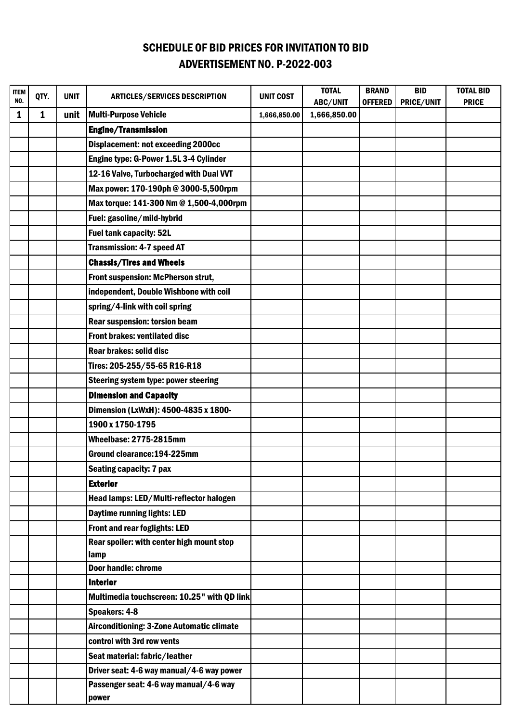## SCHEDULE OF BID PRICES FOR INVITATION TO BID ADVERTISEMENT NO. P-2022-003

| <b>ITEM</b> | QTY. | <b>UNIT</b> | <b>ARTICLES/SERVICES DESCRIPTION</b>             | <b>UNIT COST</b> | <b>TOTAL</b>             | <b>BRAND</b>   | <b>BID</b> | <b>TOTAL BID</b> |
|-------------|------|-------------|--------------------------------------------------|------------------|--------------------------|----------------|------------|------------------|
| NO.<br>1    | 1    | unit        | <b>Multi-Purpose Vehicle</b>                     | 1,666,850.00     | ABC/UNIT<br>1,666,850.00 | <b>OFFERED</b> | PRICE/UNIT | <b>PRICE</b>     |
|             |      |             | <b>Engine/Transmission</b>                       |                  |                          |                |            |                  |
|             |      |             | <b>Displacement: not exceeding 2000cc</b>        |                  |                          |                |            |                  |
|             |      |             | Engine type: G-Power 1.5L 3-4 Cylinder           |                  |                          |                |            |                  |
|             |      |             | 12-16 Valve, Turbocharged with Dual VVT          |                  |                          |                |            |                  |
|             |      |             | Max power: 170-190ph @ 3000-5,500rpm             |                  |                          |                |            |                  |
|             |      |             | Max torque: 141-300 Nm @ 1,500-4,000rpm          |                  |                          |                |            |                  |
|             |      |             | Fuel: gasoline/mild-hybrid                       |                  |                          |                |            |                  |
|             |      |             | <b>Fuel tank capacity: 52L</b>                   |                  |                          |                |            |                  |
|             |      |             | <b>Transmission: 4-7 speed AT</b>                |                  |                          |                |            |                  |
|             |      |             | <b>Chassis/Tires and Wheels</b>                  |                  |                          |                |            |                  |
|             |      |             | Front suspension: McPherson strut,               |                  |                          |                |            |                  |
|             |      |             | independent, Double Wishbone with coil           |                  |                          |                |            |                  |
|             |      |             | spring/4-link with coil spring                   |                  |                          |                |            |                  |
|             |      |             | <b>Rear suspension: torsion beam</b>             |                  |                          |                |            |                  |
|             |      |             | Front brakes: ventilated disc                    |                  |                          |                |            |                  |
|             |      |             | <b>Rear brakes: solid disc</b>                   |                  |                          |                |            |                  |
|             |      |             | Tires: 205-255/55-65 R16-R18                     |                  |                          |                |            |                  |
|             |      |             | <b>Steering system type: power steering</b>      |                  |                          |                |            |                  |
|             |      |             | <b>Dimension and Capacity</b>                    |                  |                          |                |            |                  |
|             |      |             | Dimension (LxWxH): 4500-4835 x 1800-             |                  |                          |                |            |                  |
|             |      |             | 1900 x 1750-1795                                 |                  |                          |                |            |                  |
|             |      |             | Wheelbase: 2775-2815mm                           |                  |                          |                |            |                  |
|             |      |             | Ground clearance: 194-225mm                      |                  |                          |                |            |                  |
|             |      |             | <b>Seating capacity: 7 pax</b>                   |                  |                          |                |            |                  |
|             |      |             | <b>Exterior</b>                                  |                  |                          |                |            |                  |
|             |      |             | Head lamps: LED/Multi-reflector halogen          |                  |                          |                |            |                  |
|             |      |             | <b>Daytime running lights: LED</b>               |                  |                          |                |            |                  |
|             |      |             | Front and rear foglights: LED                    |                  |                          |                |            |                  |
|             |      |             | Rear spoiler: with center high mount stop        |                  |                          |                |            |                  |
|             |      |             | lamp                                             |                  |                          |                |            |                  |
|             |      |             | <b>Door handle: chrome</b>                       |                  |                          |                |            |                  |
|             |      |             | <b>Interior</b>                                  |                  |                          |                |            |                  |
|             |      |             | Multimedia touchscreen: 10.25" with QD link      |                  |                          |                |            |                  |
|             |      |             | Speakers: 4-8                                    |                  |                          |                |            |                  |
|             |      |             | <b>Airconditioning: 3-Zone Automatic climate</b> |                  |                          |                |            |                  |
|             |      |             | control with 3rd row vents                       |                  |                          |                |            |                  |
|             |      |             | Seat material: fabric/leather                    |                  |                          |                |            |                  |
|             |      |             | Driver seat: 4-6 way manual/4-6 way power        |                  |                          |                |            |                  |
|             |      |             | Passenger seat: 4-6 way manual/4-6 way           |                  |                          |                |            |                  |
|             |      |             | power                                            |                  |                          |                |            |                  |